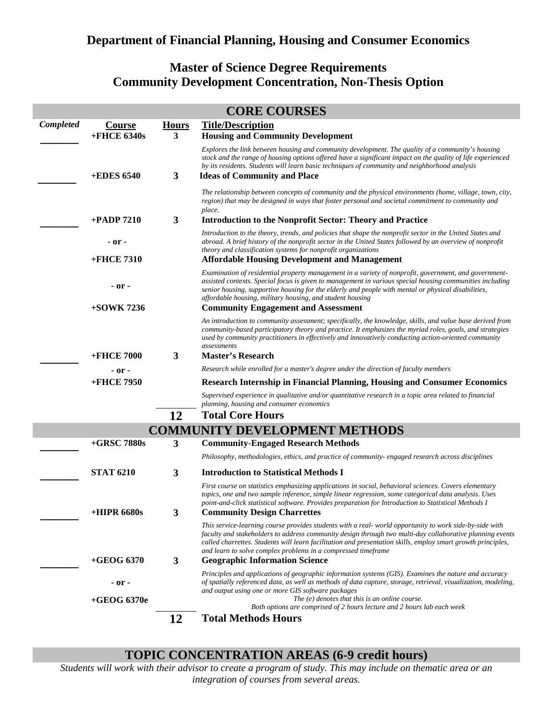## **Department of Financial Planning, Housing and Consumer Economics**

## **Master of Science Degree Requirements Community Development Concentration, Non-Thesis Option**

| <b>CORE COURSES</b>                  |                          |                   |                                                                                                                                                                                                                                                                                                                                                                                                                                     |  |  |
|--------------------------------------|--------------------------|-------------------|-------------------------------------------------------------------------------------------------------------------------------------------------------------------------------------------------------------------------------------------------------------------------------------------------------------------------------------------------------------------------------------------------------------------------------------|--|--|
| Completed                            | Course<br>$+$ FHCE 6340s | <b>Hours</b><br>3 | <b>Title/Description</b><br><b>Housing and Community Development</b>                                                                                                                                                                                                                                                                                                                                                                |  |  |
|                                      | <b>+EDES 6540</b>        | 3                 | Explores the link between housing and community development. The quality of a community's housing<br>stock and the range of housing options offered have a significant impact on the quality of life experienced<br>by its residents. Students will learn basic techniques of community and neighborhood analysis<br><b>Ideas of Community and Place</b>                                                                            |  |  |
|                                      |                          |                   | The relationship between concepts of community and the physical environments (home, village, town, city,<br>region) that may be designed in ways that foster personal and societal commitment to community and<br>place.                                                                                                                                                                                                            |  |  |
|                                      | $+$ PADP 7210            | 3                 | <b>Introduction to the Nonprofit Sector: Theory and Practice</b>                                                                                                                                                                                                                                                                                                                                                                    |  |  |
|                                      | - or -                   |                   | Introduction to the theory, trends, and policies that shape the nonprofit sector in the United States and<br>abroad. A brief history of the nonprofit sector in the United States followed by an overview of nonprofit<br>theory and classification systems for nonprofit organizations                                                                                                                                             |  |  |
|                                      | +FHCE 7310               |                   | <b>Affordable Housing Development and Management</b>                                                                                                                                                                                                                                                                                                                                                                                |  |  |
|                                      | - or -<br>$+50$ WK 7236  |                   | Examination of residential property management in a variety of nonprofit, government, and government-<br>assisted contexts. Special focus is given to management in various special housing communities including<br>senior housing, supportive housing for the elderly and people with mental or physical disabilities,<br>affordable housing, military housing, and student housing<br><b>Community Engagement and Assessment</b> |  |  |
|                                      |                          |                   | An introduction to community assessment; specifically, the knowledge, skills, and value base derived from<br>community-based participatory theory and practice. It emphasizes the myriad roles, goals, and strategies<br>used by community practitioners in effectively and innovatively conducting action-oriented community<br>assessments                                                                                        |  |  |
|                                      | <b>+FHCE 7000</b>        | 3                 | <b>Master's Research</b>                                                                                                                                                                                                                                                                                                                                                                                                            |  |  |
|                                      | - or -                   |                   | Research while enrolled for a master's degree under the direction of faculty members                                                                                                                                                                                                                                                                                                                                                |  |  |
|                                      | +FHCE 7950               |                   | <b>Research Internship in Financial Planning, Housing and Consumer Economics</b>                                                                                                                                                                                                                                                                                                                                                    |  |  |
|                                      |                          |                   | Supervised experience in qualitative and/or quantitative research in a topic area related to financial<br>planning, housing and consumer economics                                                                                                                                                                                                                                                                                  |  |  |
|                                      |                          | 12                | <b>Total Core Hours</b>                                                                                                                                                                                                                                                                                                                                                                                                             |  |  |
| <b>COMMUNITY DEVELOPMENT METHODS</b> |                          |                   |                                                                                                                                                                                                                                                                                                                                                                                                                                     |  |  |
|                                      | $+$ GRSC 7880s           | 3                 | <b>Community-Engaged Research Methods</b>                                                                                                                                                                                                                                                                                                                                                                                           |  |  |
|                                      |                          |                   | Philosophy, methodologies, ethics, and practice of community- engaged research across disciplines                                                                                                                                                                                                                                                                                                                                   |  |  |
|                                      | <b>STAT 6210</b>         | 3                 | <b>Introduction to Statistical Methods I</b>                                                                                                                                                                                                                                                                                                                                                                                        |  |  |
|                                      | +HIPR 6680s              | 3                 | First course on statistics emphasizing applications in social, behavioral sciences. Covers elementary<br>topics, one and two sample inference, simple linear regression, some categorical data analysis. Uses<br>point-and-click statistical software. Provides preparation for Introduction to Statistical Methods I<br><b>Community Design Charrettes</b>                                                                         |  |  |
|                                      |                          |                   | This service-learning course provides students with a real-world opportunity to work side-by-side with<br>faculty and stakeholders to address community design through two multi-day collaborative planning events<br>called charrettes. Students will learn facilitation and presentation skills, employ smart growth principles,<br>and learn to solve complex problems in a compressed timeframe                                 |  |  |
|                                      | $+$ GEOG 6370            | 3                 | <b>Geographic Information Science</b>                                                                                                                                                                                                                                                                                                                                                                                               |  |  |
|                                      | - or -                   |                   | Principles and applications of geographic information systems (GIS). Examines the nature and accuracy<br>of spatially referenced data, as well as methods of data capture, storage, retrieval, visualization, modeling,<br>and output using one or more GIS software packages                                                                                                                                                       |  |  |
|                                      | $+$ GEOG 6370e           |                   | The $(e)$ denotes that this is an online course.<br>Both options are comprised of 2 hours lecture and 2 hours lab each week                                                                                                                                                                                                                                                                                                         |  |  |
|                                      |                          | 12                | <b>Total Methods Hours</b>                                                                                                                                                                                                                                                                                                                                                                                                          |  |  |

## **TOPIC CONCENTRATION AREAS (6-9 credit hours)**

*Students will work with their advisor to create a program of study. This may include on thematic area or an integration of courses from several areas.*